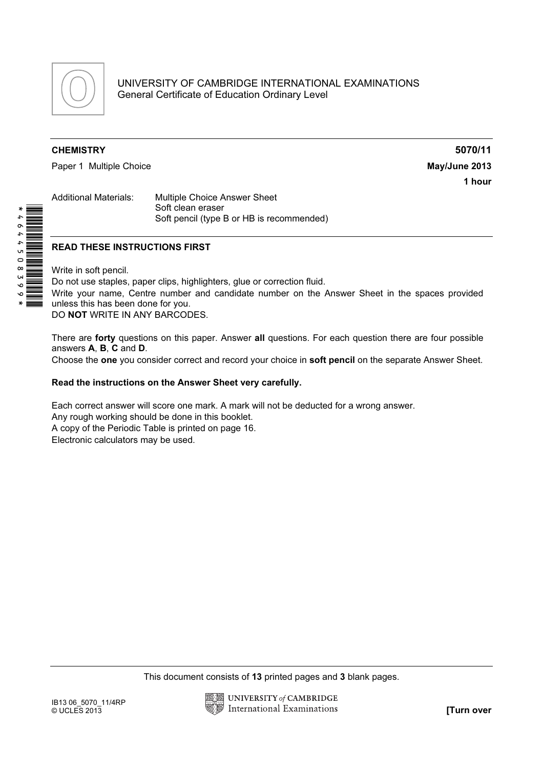

Paper 1 Multiple Choice **May/June 2013** 

CHEMISTRY 5070/11 1 hour

| Additional Materials: | <b>Multiple Choice Answer Sheet</b>       |
|-----------------------|-------------------------------------------|
|                       | Soft clean eraser                         |
|                       | Soft pencil (type B or HB is recommended) |

#### READ THESE INSTRUCTIONS FIRST

Write in soft pencil.

Do not use staples, paper clips, highlighters, glue or correction fluid.

Write your name, Centre number and candidate number on the Answer Sheet in the spaces provided unless this has been done for you.

DO NOT WRITE IN ANY BARCODES.

 \*4644508399\* There are **forty** questions on this paper. Answer all questions. For each question there are four possible answers A, B, C and D.

Choose the one you consider correct and record your choice in soft pencil on the separate Answer Sheet.

#### Read the instructions on the Answer Sheet very carefully.

Each correct answer will score one mark. A mark will not be deducted for a wrong answer. Any rough working should be done in this booklet. A copy of the Periodic Table is printed on page 16. Electronic calculators may be used.

This document consists of 13 printed pages and 3 blank pages.

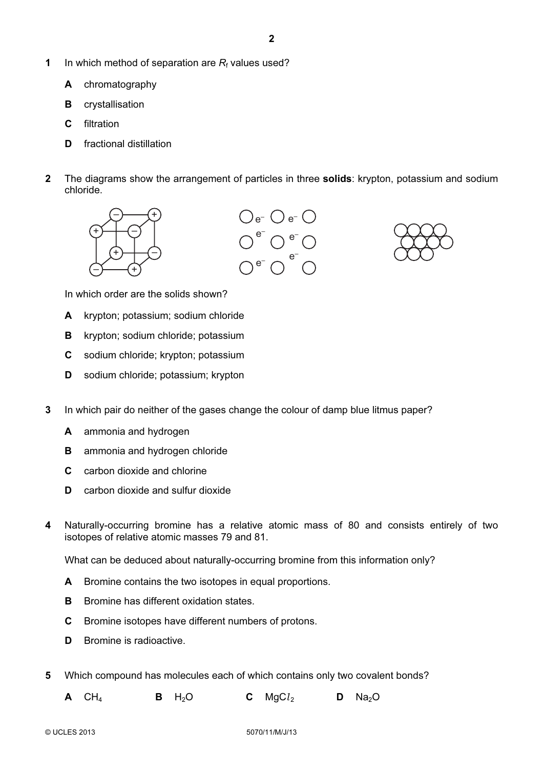- 1 In which method of separation are  $R_f$  values used?
	- A chromatography
	- **B** crystallisation
	- C filtration
	- D fractional distillation
- 2 The diagrams show the arrangement of particles in three solids: krypton, potassium and sodium chloride.







In which order are the solids shown?

- A krypton; potassium; sodium chloride
- **B** krypton; sodium chloride; potassium
- C sodium chloride; krypton; potassium
- D sodium chloride; potassium; krypton
- 3 In which pair do neither of the gases change the colour of damp blue litmus paper?
	- A ammonia and hydrogen
	- **B** ammonia and hydrogen chloride
	- C carbon dioxide and chlorine
	- D carbon dioxide and sulfur dioxide
- 4 Naturally-occurring bromine has a relative atomic mass of 80 and consists entirely of two isotopes of relative atomic masses 79 and 81.

What can be deduced about naturally-occurring bromine from this information only?

- A Bromine contains the two isotopes in equal proportions.
- **B** Bromine has different oxidation states.
- C Bromine isotopes have different numbers of protons.
- **D** Bromine is radioactive.
- 5 Which compound has molecules each of which contains only two covalent bonds?
	- **A** CH<sub>4</sub> **B** H<sub>2</sub>O **C** MgC $l_2$  **D** Na<sub>2</sub>O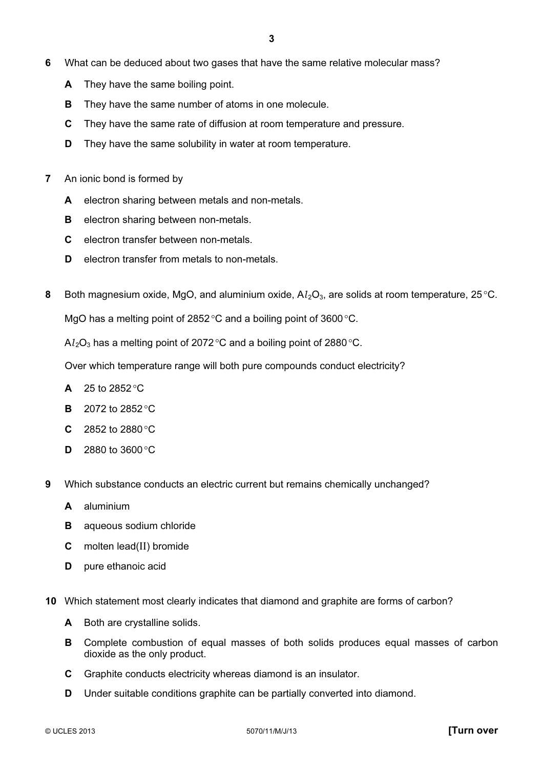- 6 What can be deduced about two gases that have the same relative molecular mass?
	- A They have the same boiling point.
	- **B** They have the same number of atoms in one molecule.
	- C They have the same rate of diffusion at room temperature and pressure.
	- D They have the same solubility in water at room temperature.
- 7 An ionic bond is formed by
	- A electron sharing between metals and non-metals.
	- **B** electron sharing between non-metals.
	- C electron transfer between non-metals.
	- D electron transfer from metals to non-metals.
- 8 Both magnesium oxide, MgO, and aluminium oxide,  $Al_2O_3$ , are solids at room temperature, 25 °C.

MgO has a melting point of 2852°C and a boiling point of 3600°C.

Al<sub>2</sub>O<sub>3</sub> has a melting point of 2072 °C and a boiling point of 2880 °C.

Over which temperature range will both pure compounds conduct electricity?

- $A = 25$  to 2852 °C
- B 2072 to 2852°C
- C 2852 to 2880°C
- D 2880 to 3600°C
- 9 Which substance conducts an electric current but remains chemically unchanged?
	- A aluminium
	- **B** aqueous sodium chloride
	- C molten lead(II) bromide
	- D pure ethanoic acid
- 10 Which statement most clearly indicates that diamond and graphite are forms of carbon?
	- A Both are crystalline solids.
	- B Complete combustion of equal masses of both solids produces equal masses of carbon dioxide as the only product.
	- C Graphite conducts electricity whereas diamond is an insulator.
	- D Under suitable conditions graphite can be partially converted into diamond.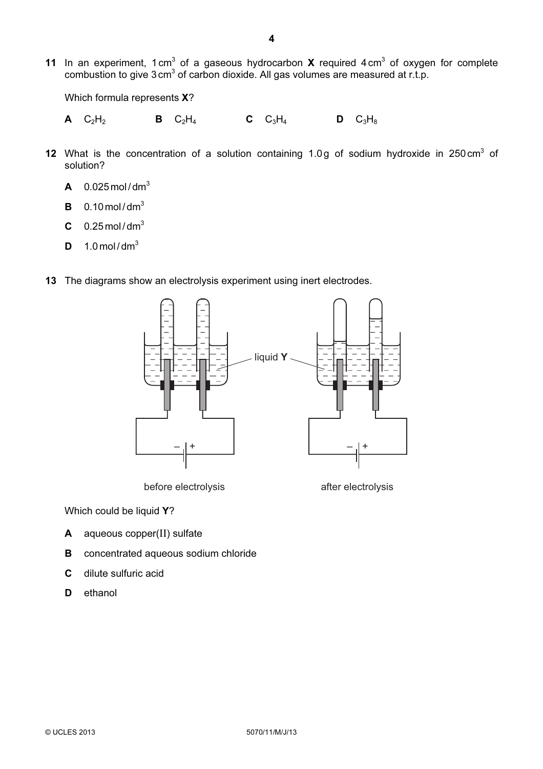Which formula represents X?

- **A**  $C_2H_2$  **B**  $C_2H_4$  **C**  $C_3H_4$  **D**  $C_3H_8$
- 12 What is the concentration of a solution containing 1.0g of sodium hydroxide in 250 cm<sup>3</sup> of solution?
	- $A = 0.025$  mol/dm<sup>3</sup>
	- $B = 0.10$  mol/dm<sup>3</sup>
	- $C = 0.25$  mol/dm<sup>3</sup>
	- $D = 1.0$  mol/dm<sup>3</sup>
- 13 The diagrams show an electrolysis experiment using inert electrodes.



before electrolysis

after electrolysis

Which could be liquid Y?

- A aqueous copper(II) sulfate
- B concentrated aqueous sodium chloride
- C dilute sulfuric acid
- D ethanol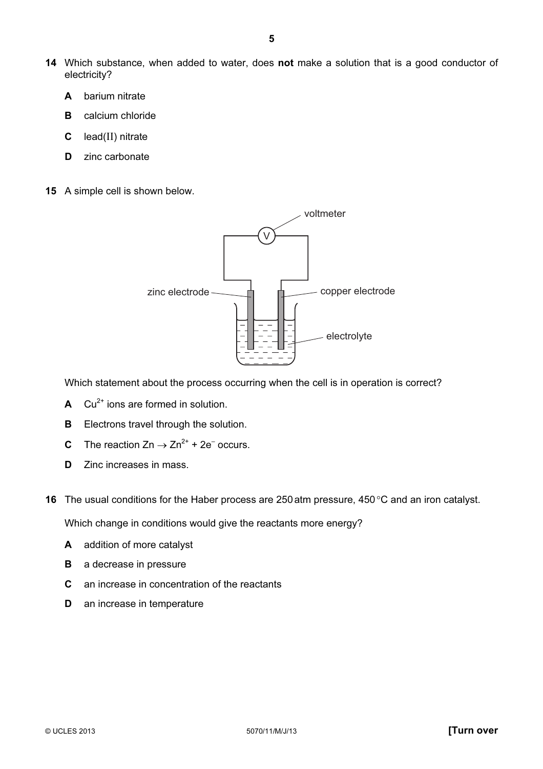- 14 Which substance, when added to water, does not make a solution that is a good conductor of electricity?
	- A barium nitrate
	- **B** calcium chloride
	- C lead(II) nitrate
	- D zinc carbonate
- 15 A simple cell is shown below.



Which statement about the process occurring when the cell is in operation is correct?

- $A$  Cu<sup>2+</sup> ions are formed in solution.
- **B** Electrons travel through the solution.
- **C** The reaction  $Zn \rightarrow Zn^{2+} + 2e^-$  occurs.
- **D** Zinc increases in mass.
- 16 The usual conditions for the Haber process are 250 atm pressure, 450 °C and an iron catalyst.

Which change in conditions would give the reactants more energy?

- A addition of more catalyst
- **B** a decrease in pressure
- C an increase in concentration of the reactants
- **D** an increase in temperature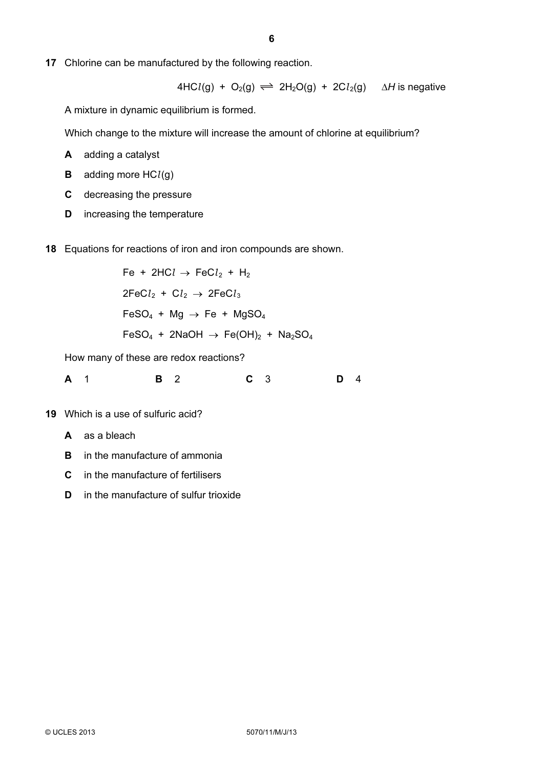17 Chlorine can be manufactured by the following reaction.

 $4HCl(g) + O_2(g) \rightleftharpoons 2H_2O(g) + 2Cl_2(g)$   $\Delta H$  is negative

A mixture in dynamic equilibrium is formed.

Which change to the mixture will increase the amount of chlorine at equilibrium?

- A adding a catalyst
- **B** adding more  $HCl(g)$
- C decreasing the pressure
- **D** increasing the temperature
- 18 Equations for reactions of iron and iron compounds are shown.

Fe + 2HCl  $\rightarrow$  FeCl<sub>2</sub> + H<sub>2</sub>  $2FeCl<sub>2</sub> + Cl<sub>2</sub> \rightarrow 2FeCl<sub>3</sub>$  $FeSO<sub>4</sub> + Mg \rightarrow Fe + MgSO<sub>4</sub>$  $FeSO<sub>4</sub> + 2NaOH \rightarrow Fe(OH)<sub>2</sub> + Na<sub>2</sub>SO<sub>4</sub>$ 

How many of these are redox reactions?

| <b>B</b> 2<br>$D \quad 4$<br>C <sub>3</sub><br><b>A</b> 1 |
|-----------------------------------------------------------|
|                                                           |

- 19 Which is a use of sulfuric acid?
	- A as a bleach
	- **B** in the manufacture of ammonia
	- C in the manufacture of fertilisers
	- D in the manufacture of sulfur trioxide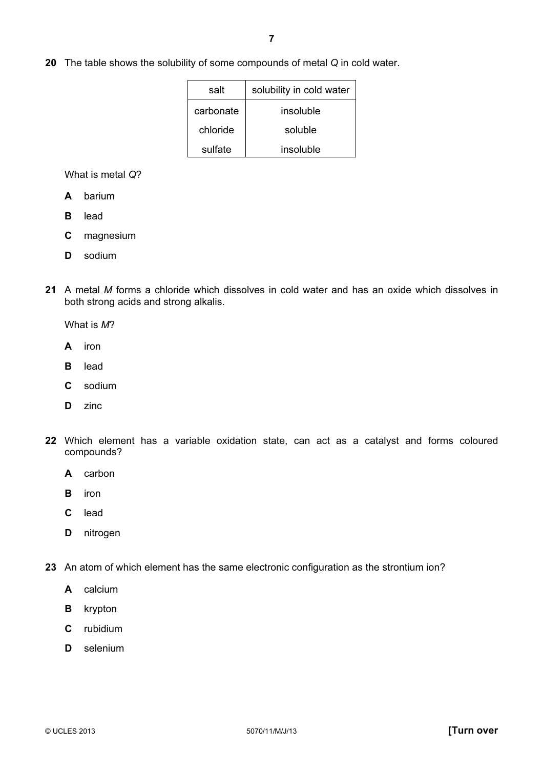20 The table shows the solubility of some compounds of metal Q in cold water.

| salt      | solubility in cold water |
|-----------|--------------------------|
| carbonate | insoluble                |
| chloride  | soluble                  |
| sulfate   | insoluble                |

What is metal Q?

- A barium
- B lead
- C magnesium
- D sodium
- 21 A metal M forms a chloride which dissolves in cold water and has an oxide which dissolves in both strong acids and strong alkalis.

What is M?

- A iron
- B lead
- C sodium
- D zinc
- 22 Which element has a variable oxidation state, can act as a catalyst and forms coloured compounds?
	- A carbon
	- **B** iron
	- C lead
	- D nitrogen
- 23 An atom of which element has the same electronic configuration as the strontium ion?
	- A calcium
	- B krypton
	- C rubidium
	- D selenium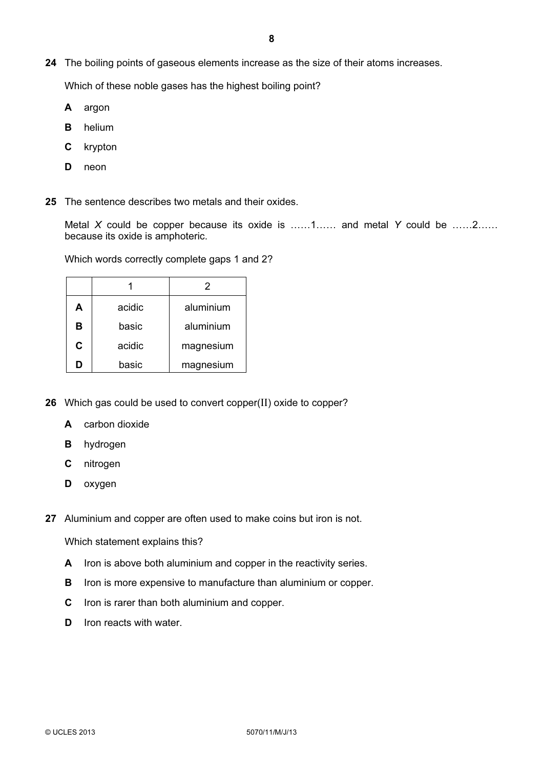24 The boiling points of gaseous elements increase as the size of their atoms increases.

Which of these noble gases has the highest boiling point?

- A argon
- B helium
- C krypton
- D neon
- 25 The sentence describes two metals and their oxides.

Metal X could be copper because its oxide is  $\dots$ 1...... and metal Y could be  $\dots$ 2..... because its oxide is amphoteric.

Which words correctly complete gaps 1 and 2?

|    |        | 2         |
|----|--------|-----------|
| А  | acidic | aluminium |
| в  | basic  | aluminium |
| C. | acidic | magnesium |
| D  | basic  | magnesium |

- 26 Which gas could be used to convert copper(II) oxide to copper?
	- A carbon dioxide
	- **B** hydrogen
	- C nitrogen
	- D oxygen
- 27 Aluminium and copper are often used to make coins but iron is not.

Which statement explains this?

- A Iron is above both aluminium and copper in the reactivity series.
- **B** Iron is more expensive to manufacture than aluminium or copper.
- C Iron is rarer than both aluminium and copper.
- D Iron reacts with water.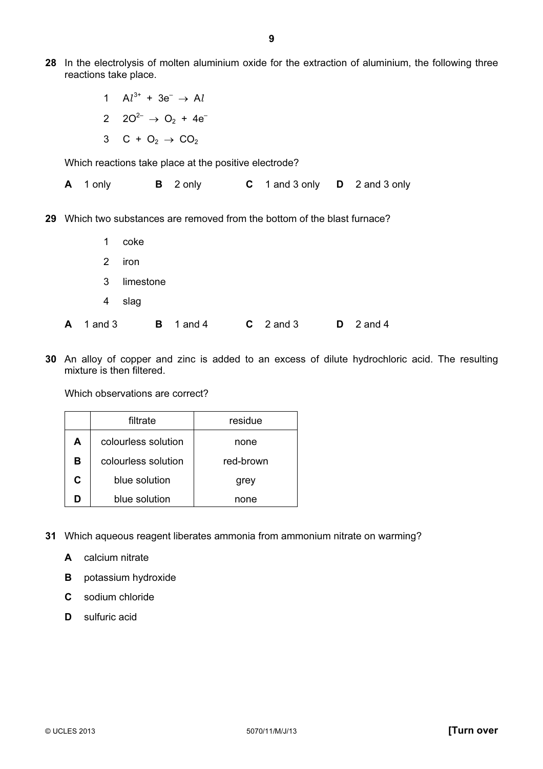- 28 In the electrolysis of molten aluminium oxide for the extraction of aluminium, the following three reactions take place.
	- 1  $Al^{3+} + 3e^{-} \rightarrow Al$ 2  $2O^{2-} \rightarrow O_2 + 4e^{-}$ 3 C +  $O_2 \rightarrow CO_2$

Which reactions take place at the positive electrode?

- A 1 only B 2 only C 1 and 3 only D 2 and 3 only
- 29 Which two substances are removed from the bottom of the blast furnace?

|   | 1       | coke      |         |             |   |           |
|---|---------|-----------|---------|-------------|---|-----------|
|   | 2       | iron      |         |             |   |           |
|   | 3       | limestone |         |             |   |           |
|   | 4       | slag      |         |             |   |           |
| A | 1 and 3 | в         | 1 and 4 | $C$ 2 and 3 | D | 2 and $4$ |

30 An alloy of copper and zinc is added to an excess of dilute hydrochloric acid. The resulting mixture is then filtered.

Which observations are correct?

|   | filtrate            | residue   |
|---|---------------------|-----------|
| А | colourless solution | none      |
| в | colourless solution | red-brown |
| C | blue solution       | grey      |
| n | blue solution       | none      |

- 31 Which aqueous reagent liberates ammonia from ammonium nitrate on warming?
	- A calcium nitrate
	- B potassium hydroxide
	- C sodium chloride
	- D sulfuric acid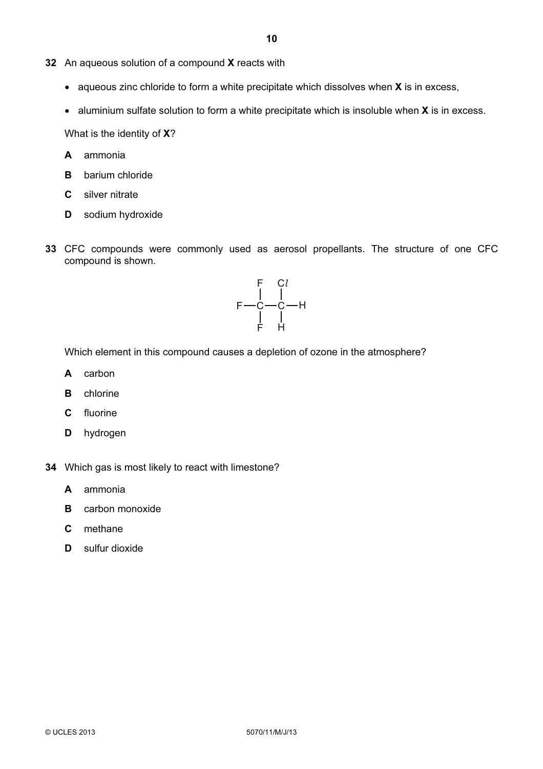- 32 An aqueous solution of a compound X reacts with
	- aqueous zinc chloride to form a white precipitate which dissolves when  $X$  is in excess,
	- aluminium sulfate solution to form a white precipitate which is insoluble when **X** is in excess.

What is the identity of **X**?

- A ammonia
- **B** barium chloride
- C silver nitrate
- D sodium hydroxide
- 33 CFC compounds were commonly used as aerosol propellants. The structure of one CFC compound is shown.



Which element in this compound causes a depletion of ozone in the atmosphere?

- A carbon
- **B** chlorine
- C fluorine
- D hydrogen
- 34 Which gas is most likely to react with limestone?
	- A ammonia
	- B carbon monoxide
	- C methane
	- D sulfur dioxide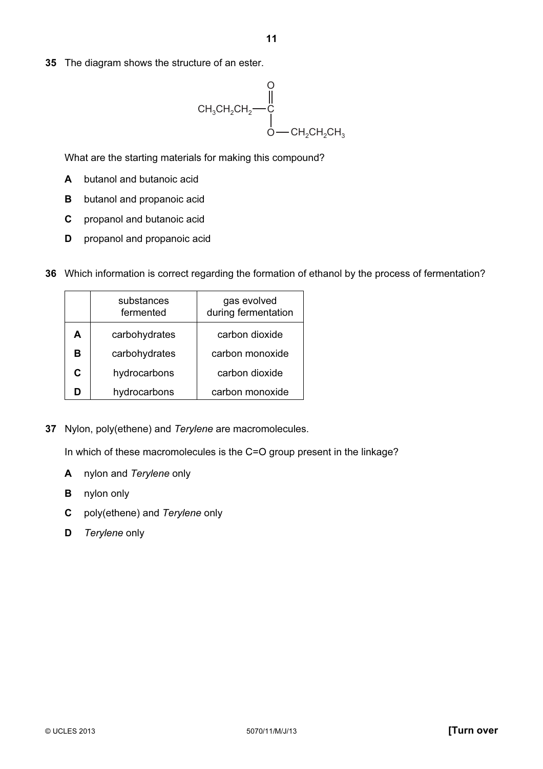35 The diagram shows the structure of an ester.

O O CH3CH2CH2 C CH2CH2CH3

What are the starting materials for making this compound?

- A butanol and butanoic acid
- **B** butanol and propanoic acid
- C propanol and butanoic acid
- D propanol and propanoic acid
- 36 Which information is correct regarding the formation of ethanol by the process of fermentation?

|   | substances<br>fermented | gas evolved<br>during fermentation |
|---|-------------------------|------------------------------------|
| A | carbohydrates           | carbon dioxide                     |
| в | carbohydrates           | carbon monoxide                    |
| C | hydrocarbons            | carbon dioxide                     |
|   | hydrocarbons            | carbon monoxide                    |

37 Nylon, poly(ethene) and Terylene are macromolecules.

In which of these macromolecules is the C=O group present in the linkage?

- A nylon and Terylene only
- **B** nylon only
- C poly(ethene) and Terylene only
- D Terylene only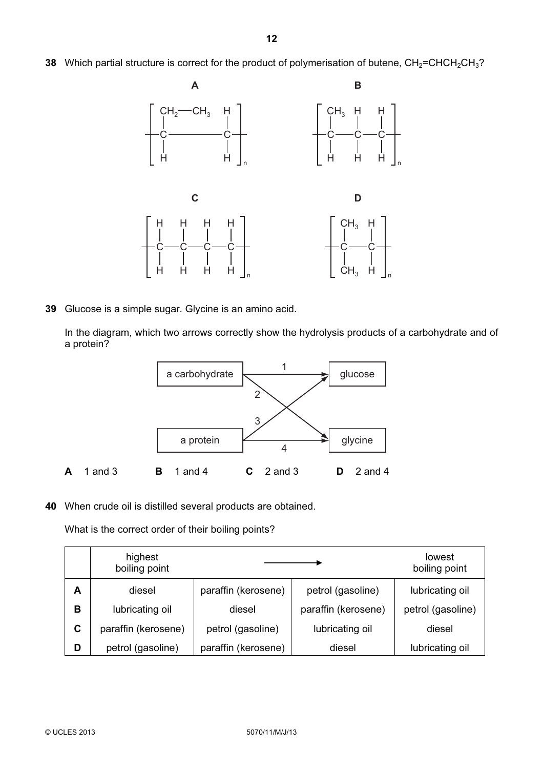38 Which partial structure is correct for the product of polymerisation of butene,  $CH_2=CHCH_2CH_3$ ?



39 Glucose is a simple sugar. Glycine is an amino acid.

In the diagram, which two arrows correctly show the hydrolysis products of a carbohydrate and of a protein?



40 When crude oil is distilled several products are obtained.

What is the correct order of their boiling points?

|   | highest<br>boiling point |                     |                     | lowest<br>boiling point |
|---|--------------------------|---------------------|---------------------|-------------------------|
| А | diesel                   | paraffin (kerosene) | petrol (gasoline)   | lubricating oil         |
| в | lubricating oil          | diesel              | paraffin (kerosene) | petrol (gasoline)       |
| С | paraffin (kerosene)      | petrol (gasoline)   | lubricating oil     | diesel                  |
| D | petrol (gasoline)        | paraffin (kerosene) | diesel              | lubricating oil         |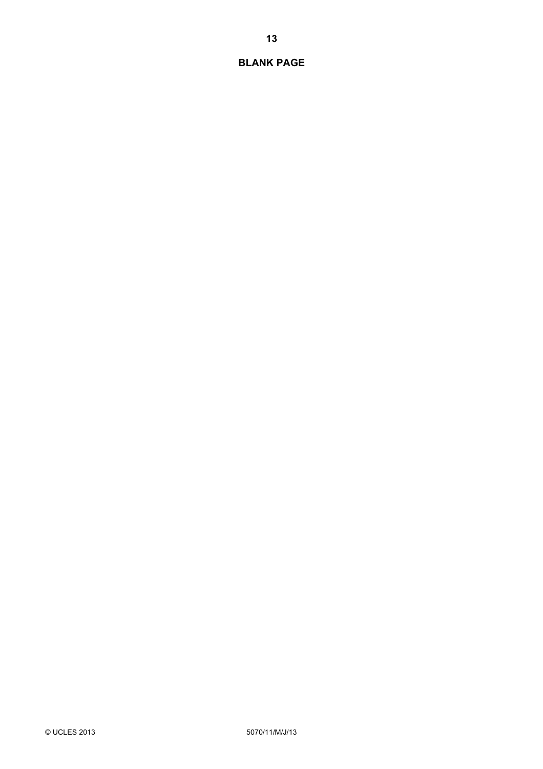# BLANK PAGE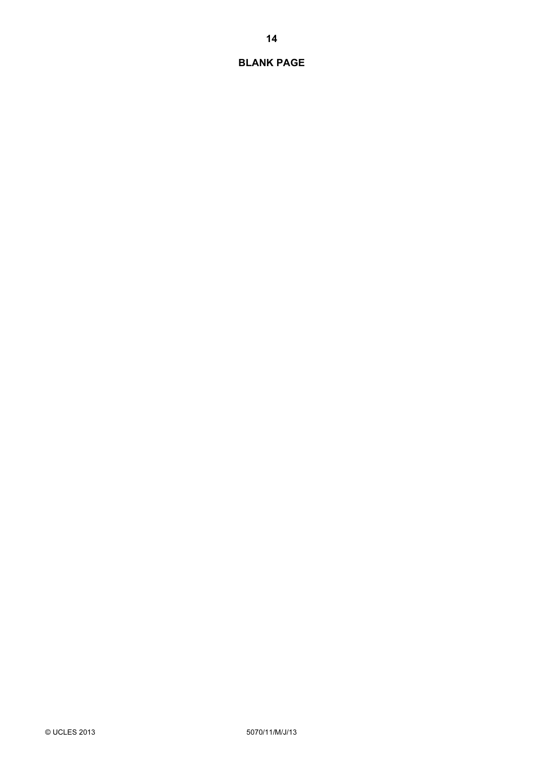# BLANK PAGE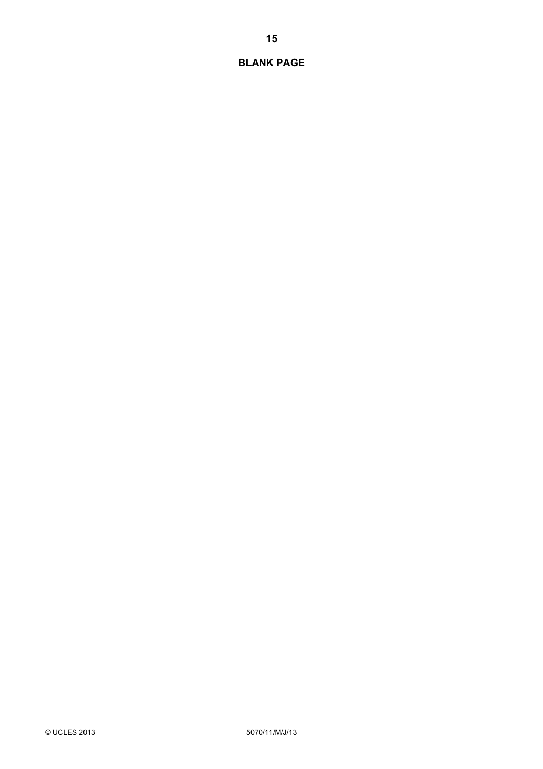# BLANK PAGE